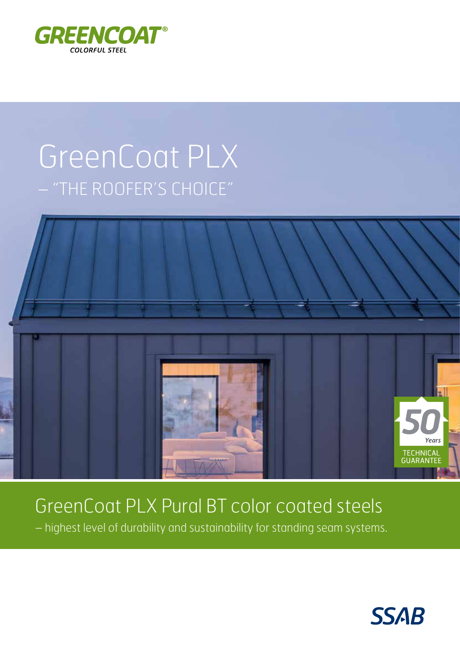

# GreenCoat PLX - "THE ROOFER'S CHOICE"



## GreenCoat PLX Pural BT color coated steels

- highest level of durability and sustainability for standing seam systems.

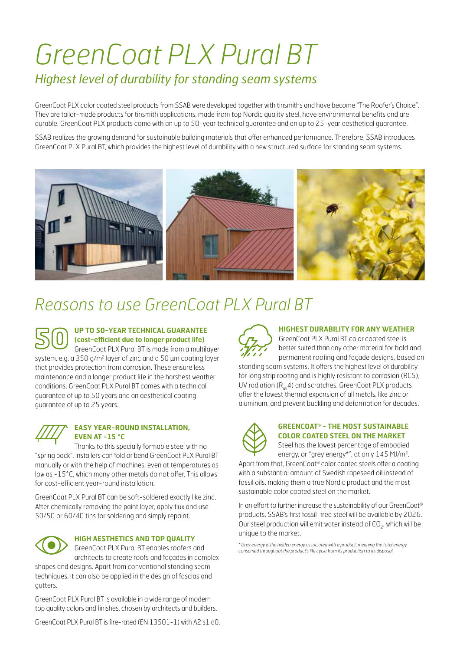# *GreenCoat PLX Pural BT Highest level of durability for standing seam systems*

GreenCoat PLX color coated steel products from SSAB were developed together with tinsmiths and have become "The Roofer's Choice". They are tailor-made products for tinsmith applications, made from top Nordic quality steel, have environmental benefits and are durable. GreenCoat PLX products come with an up to 50-year technical guarantee and an up to 25-year aesthetical guarantee.

SSAB realizes the growing demand for sustainable building materials that offer enhanced performance. Therefore, SSAB introduces GreenCoat PLX Pural BT, which provides the highest level of durability with a new structured surface for standing seam systems.



### *Reasons to use GreenCoat PLX Pural BT*



#### **UP TO 50-YEAR TECHNICAL GUARANTEE (cost-efficient due to longer product life)**

GreenCoat PLX Pural BT is made from a multilayer system, e.g. a 350 g/m<sup>2</sup> layer of zinc and a 50 µm coating layer that provides protection from corrosion. These ensure less maintenance and a longer product life in the harshest weather conditions. GreenCoat PLX Pural BT comes with a technical guarantee of up to 50 years and an aesthetical coating guarantee of up to 25 years.



#### **EASY YEAR-ROUND INSTALLATION, EVEN AT -15 °C**

Thanks to this specially formable steel with no "spring back", installers can fold or bend GreenCoat PLX Pural BT manually or with the help of machines, even at temperatures as low as -15°C, which many other metals do not offer. This allows for cost-efficient year-round installation.

GreenCoat PLX Pural BT can be soft-soldered exactly like zinc. After chemically removing the paint layer, apply flux and use 50/50 or 60/40 tins for soldering and simply repaint.



#### **HIGH AESTHETICS AND TOP QUALITY**

GreenCoat PLX Pural BT enables roofers and architects to create roofs and façades in complex

shapes and designs. Apart from conventional standing seam techniques, it can also be applied in the design of fascias and gutters.

GreenCoat PLX Pural BT is available in a wide range of modern top quality colors and finishes, chosen by architects and builders.

GreenCoat PLX Pural BT is fire-rated (EN 13501-1) with A2 s1 d0.



#### **HIGHEST DURABILITY FOR ANY WEATHER**

GreenCoat PLX Pural BT color coated steel is better suited than any other material for bold and permanent roofing and façade designs, based on

standing seam systems. It offers the highest level of durability for long strip roofing and is highly resistant to corrosion (RC5), UV radiation ( $R_{\mu\nu}$ 4) and scratches. GreenCoat PLX products offer the lowest thermal expansion of all metals, like zinc or aluminum, and prevent buckling and deformation for decades.



#### **GREENCOAT® - THE MOST SUSTAINABLE COLOR COATED STEEL ON THE MARKET**

Steel has the lowest percentage of embodied energy, or "grey energy\*", at only 145 MJ/m2.

Apart from that, GreenCoat® color coated steels offer a coating with a substantial amount of Swedish rapeseed oil instead of fossil oils, making them a true Nordic product and the most sustainable color coated steel on the market.

In an effort to further increase the sustainability of our GreenCoat® products, SSAB's first fossil-free steel will be available by 2026. Our steel production will emit water instead of  $CO<sub>2</sub>$ , which will be unique to the market.

*\* Grey energy is the hidden energy associated with a product, meaning the total energy consumed throughout the product's life cycle from its production to its disposal.*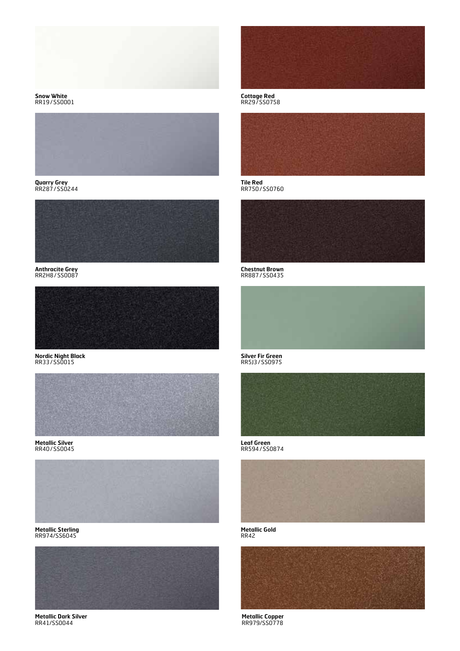

**Snow White** RR19/SS0001



**Quarry Grey** RR287/SS0244



**Anthracite Grey** RR2H8/SS0087



**Nordic Night Black** RR33/SS0015



**Metallic Silver** RR40/SS0045



**Metallic Sterling** RR974/SS6045



**Metallic Dark Silver** RR41/SS0044



**Cottage Red** RR29/SS0758



**Tile Red** RR750/SS0760



**Chestnut Brown** RR887/SS0435



**Silver Fir Green** RR5J3/SS0975



**Leaf Green** RR594/SS0874



**Metallic Gold** RR42



**Metallic Copper** RR979/SS0778